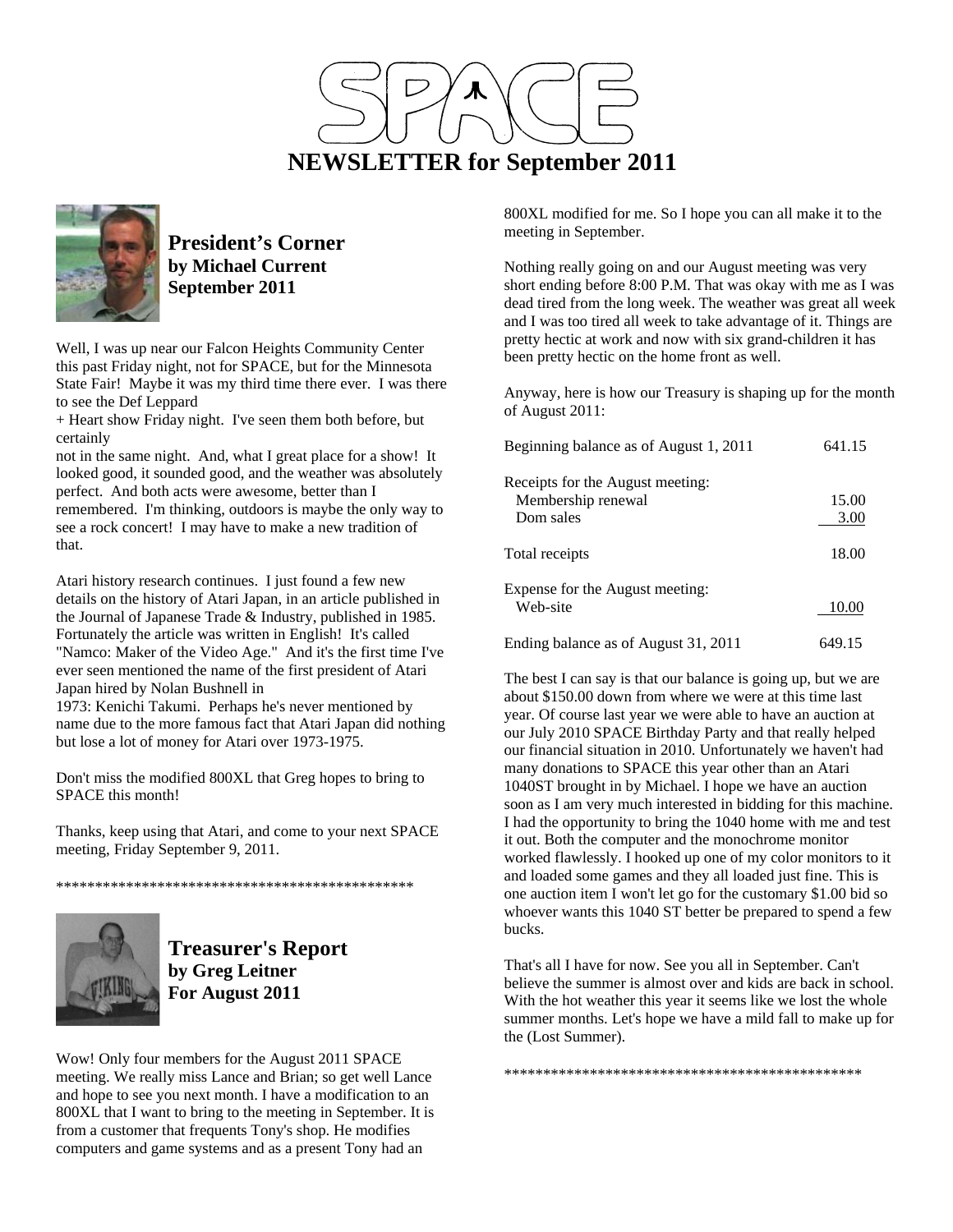



**President's Corner by Michael Current September 2011**

Well, I was up near our Falcon Heights Community Center this past Friday night, not for SPACE, but for the Minnesota State Fair! Maybe it was my third time there ever. I was there to see the Def Leppard

+ Heart show Friday night. I've seen them both before, but certainly

not in the same night. And, what I great place for a show! It looked good, it sounded good, and the weather was absolutely perfect. And both acts were awesome, better than I remembered. I'm thinking, outdoors is maybe the only way to see a rock concert! I may have to make a new tradition of that.

Atari history research continues. I just found a few new details on the history of Atari Japan, in an article published in the Journal of Japanese Trade & Industry, published in 1985. Fortunately the article was written in English! It's called "Namco: Maker of the Video Age." And it's the first time I've ever seen mentioned the name of the first president of Atari Japan hired by Nolan Bushnell in

1973: Kenichi Takumi. Perhaps he's never mentioned by name due to the more famous fact that Atari Japan did nothing but lose a lot of money for Atari over 1973-1975.

Don't miss the modified 800XL that Greg hopes to bring to SPACE this month!

Thanks, keep using that Atari, and come to your next SPACE meeting, Friday September 9, 2011.

\*\*\*\*\*\*\*\*\*\*\*\*\*\*\*\*\*\*\*\*\*\*\*\*\*\*\*\*\*\*\*\*\*\*\*\*\*\*\*\*\*\*\*\*\*\*



**Treasurer's Report by Greg Leitner For August 2011** 

Wow! Only four members for the August 2011 SPACE meeting. We really miss Lance and Brian; so get well Lance and hope to see you next month. I have a modification to an 800XL that I want to bring to the meeting in September. It is from a customer that frequents Tony's shop. He modifies computers and game systems and as a present Tony had an

800XL modified for me. So I hope you can all make it to the meeting in September.

Nothing really going on and our August meeting was very short ending before 8:00 P.M. That was okay with me as I was dead tired from the long week. The weather was great all week and I was too tired all week to take advantage of it. Things are pretty hectic at work and now with six grand-children it has been pretty hectic on the home front as well.

Anyway, here is how our Treasury is shaping up for the month of August 2011:

| Beginning balance as of August 1, 2011                              | 641.15        |
|---------------------------------------------------------------------|---------------|
| Receipts for the August meeting:<br>Membership renewal<br>Dom sales | 15.00<br>3.00 |
| Total receipts                                                      | 18.00         |
| Expense for the August meeting:<br>Web-site                         | 10.00         |
| Ending balance as of August 31, 2011                                | 649.15        |

The best I can say is that our balance is going up, but we are about \$150.00 down from where we were at this time last year. Of course last year we were able to have an auction at our July 2010 SPACE Birthday Party and that really helped our financial situation in 2010. Unfortunately we haven't had many donations to SPACE this year other than an Atari 1040ST brought in by Michael. I hope we have an auction soon as I am very much interested in bidding for this machine. I had the opportunity to bring the 1040 home with me and test it out. Both the computer and the monochrome monitor worked flawlessly. I hooked up one of my color monitors to it and loaded some games and they all loaded just fine. This is one auction item I won't let go for the customary \$1.00 bid so whoever wants this 1040 ST better be prepared to spend a few bucks.

That's all I have for now. See you all in September. Can't believe the summer is almost over and kids are back in school. With the hot weather this year it seems like we lost the whole summer months. Let's hope we have a mild fall to make up for the (Lost Summer).

\*\*\*\*\*\*\*\*\*\*\*\*\*\*\*\*\*\*\*\*\*\*\*\*\*\*\*\*\*\*\*\*\*\*\*\*\*\*\*\*\*\*\*\*\*\*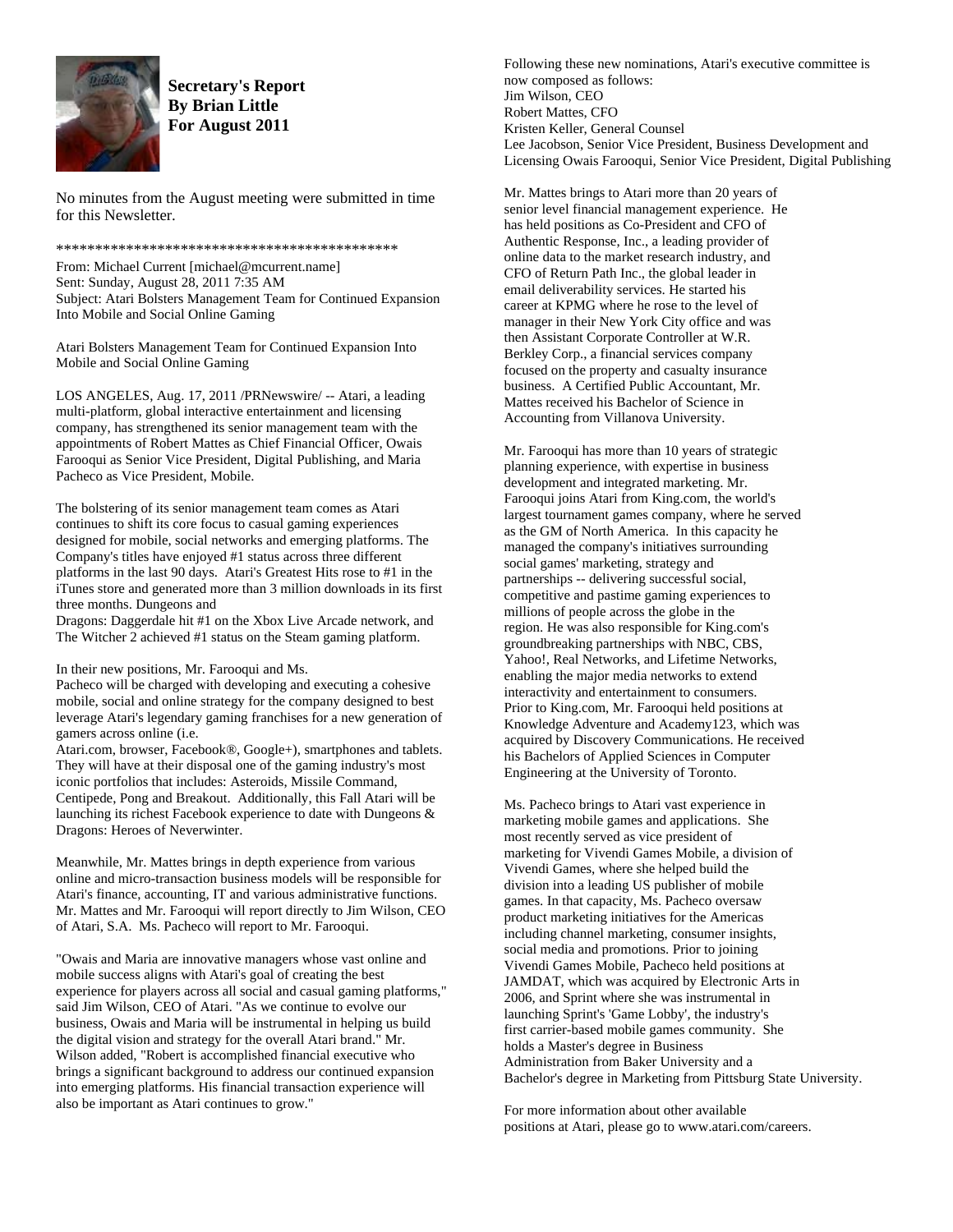

**Secretary's Report By Brian Little For August 2011** 

No minutes from the August meeting were submitted in time for this Newsletter.

## \*\*\*\*\*\*\*\*\*\*\*\*\*\*\*\*\*\*\*\*\*\*\*\*\*\*\*\*\*\*\*\*\*\*\*\*\*\*\*\*\*\*\*\*

From: Michael Current [michael@mcurrent.name] Sent: Sunday, August 28, 2011 7:35 AM Subject: Atari Bolsters Management Team for Continued Expansion Into Mobile and Social Online Gaming

Atari Bolsters Management Team for Continued Expansion Into Mobile and Social Online Gaming

LOS ANGELES, Aug. 17, 2011 /PRNewswire/ -- Atari, a leading multi-platform, global interactive entertainment and licensing company, has strengthened its senior management team with the appointments of Robert Mattes as Chief Financial Officer, Owais Farooqui as Senior Vice President, Digital Publishing, and Maria Pacheco as Vice President, Mobile.

The bolstering of its senior management team comes as Atari continues to shift its core focus to casual gaming experiences designed for mobile, social networks and emerging platforms. The Company's titles have enjoyed #1 status across three different platforms in the last 90 days. Atari's Greatest Hits rose to #1 in the iTunes store and generated more than 3 million downloads in its first three months. Dungeons and

Dragons: Daggerdale hit #1 on the Xbox Live Arcade network, and The Witcher 2 achieved #1 status on the Steam gaming platform.

In their new positions, Mr. Farooqui and Ms.

Pacheco will be charged with developing and executing a cohesive mobile, social and online strategy for the company designed to best leverage Atari's legendary gaming franchises for a new generation of gamers across online (i.e.

Atari.com, browser, Facebook®, Google+), smartphones and tablets. They will have at their disposal one of the gaming industry's most iconic portfolios that includes: Asteroids, Missile Command, Centipede, Pong and Breakout. Additionally, this Fall Atari will be launching its richest Facebook experience to date with Dungeons & Dragons: Heroes of Neverwinter.

Meanwhile, Mr. Mattes brings in depth experience from various online and micro-transaction business models will be responsible for Atari's finance, accounting, IT and various administrative functions. Mr. Mattes and Mr. Farooqui will report directly to Jim Wilson, CEO of Atari, S.A. Ms. Pacheco will report to Mr. Farooqui.

"Owais and Maria are innovative managers whose vast online and mobile success aligns with Atari's goal of creating the best experience for players across all social and casual gaming platforms," said Jim Wilson, CEO of Atari. "As we continue to evolve our business, Owais and Maria will be instrumental in helping us build the digital vision and strategy for the overall Atari brand." Mr. Wilson added, "Robert is accomplished financial executive who brings a significant background to address our continued expansion into emerging platforms. His financial transaction experience will also be important as Atari continues to grow."

Following these new nominations, Atari's executive committee is now composed as follows: Jim Wilson, CEO Robert Mattes, CFO Kristen Keller, General Counsel Lee Jacobson, Senior Vice President, Business Development and Licensing Owais Farooqui, Senior Vice President, Digital Publishing

Mr. Mattes brings to Atari more than 20 years of senior level financial management experience. He has held positions as Co-President and CFO of Authentic Response, Inc., a leading provider of online data to the market research industry, and CFO of Return Path Inc., the global leader in email deliverability services. He started his career at KPMG where he rose to the level of manager in their New York City office and was then Assistant Corporate Controller at W.R. Berkley Corp., a financial services company focused on the property and casualty insurance business. A Certified Public Accountant, Mr. Mattes received his Bachelor of Science in Accounting from Villanova University.

Mr. Farooqui has more than 10 years of strategic planning experience, with expertise in business development and integrated marketing. Mr. Farooqui joins Atari from King.com, the world's largest tournament games company, where he served as the GM of North America. In this capacity he managed the company's initiatives surrounding social games' marketing, strategy and partnerships -- delivering successful social, competitive and pastime gaming experiences to millions of people across the globe in the region. He was also responsible for King.com's groundbreaking partnerships with NBC, CBS, Yahoo!, Real Networks, and Lifetime Networks, enabling the major media networks to extend interactivity and entertainment to consumers. Prior to King.com, Mr. Farooqui held positions at Knowledge Adventure and Academy123, which was acquired by Discovery Communications. He received his Bachelors of Applied Sciences in Computer Engineering at the University of Toronto.

Ms. Pacheco brings to Atari vast experience in marketing mobile games and applications. She most recently served as vice president of marketing for Vivendi Games Mobile, a division of Vivendi Games, where she helped build the division into a leading US publisher of mobile games. In that capacity, Ms. Pacheco oversaw product marketing initiatives for the Americas including channel marketing, consumer insights, social media and promotions. Prior to joining Vivendi Games Mobile, Pacheco held positions at JAMDAT, which was acquired by Electronic Arts in 2006, and Sprint where she was instrumental in launching Sprint's 'Game Lobby', the industry's first carrier-based mobile games community. She holds a Master's degree in Business Administration from Baker University and a Bachelor's degree in Marketing from Pittsburg State University.

For more information about other available positions at Atari, please go to www.atari.com/careers.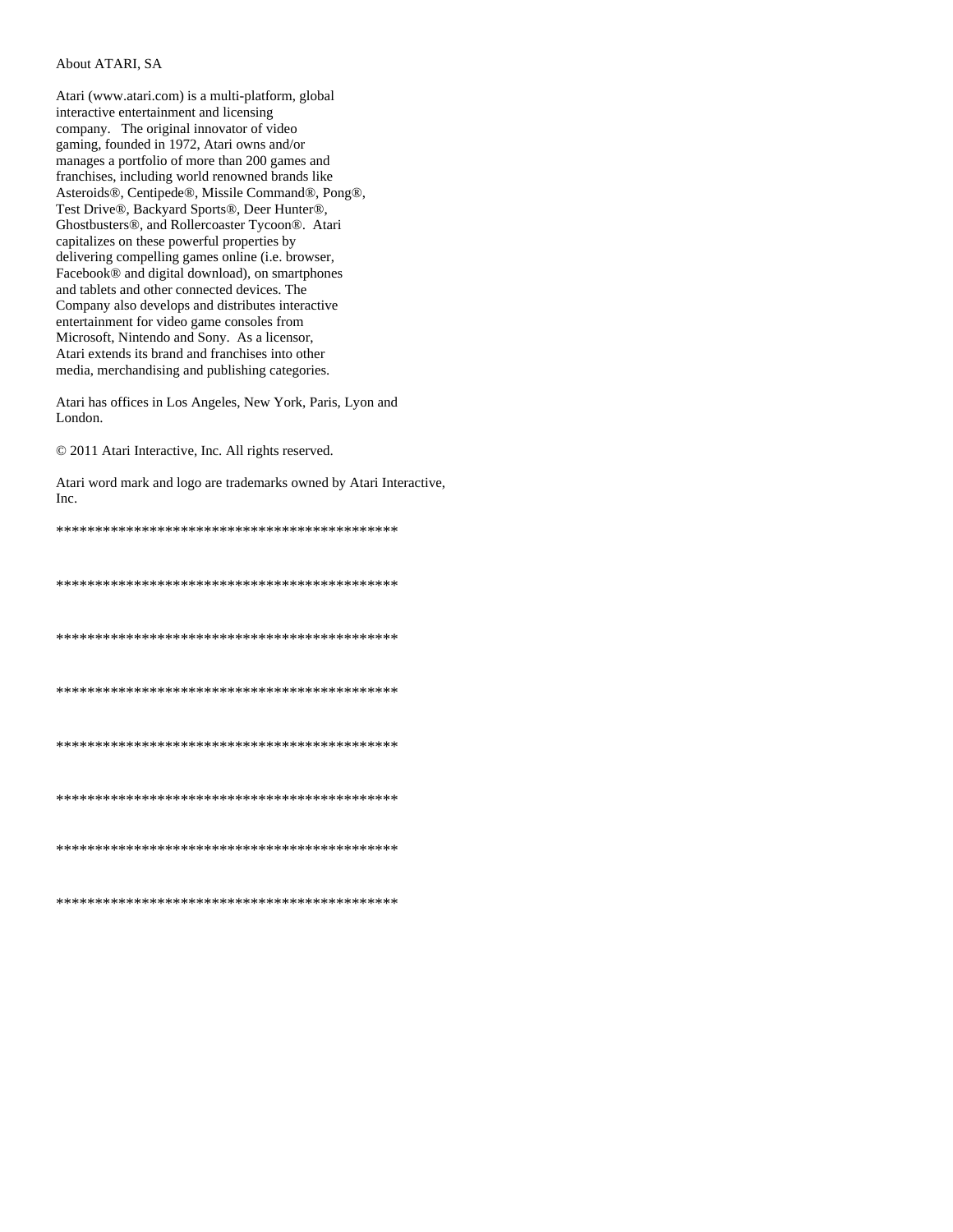## About ATARI, SA

Atari (www.atari.com) is a multi-platform, global interactive entertainment and licensing company. The original innovator of video gaming, founded in 1972, Atari owns and/or manages a portfolio of more than 200 games and franchises, including world renowned brands like Asteroids®, Centipede®, Missile Command®, Pong®, Test Drive®, Backyard Sports®, Deer Hunter®, Ghostbusters®, and Rollercoaster Tycoon®. Atari capitalizes on these powerful properties by delivering compelling games online (i.e. browser, Facebook® and digital download), on smartphones and tablets and other connected devices. The Company also develops and distributes interactive entertainment for video game consoles from Microsoft, Nintendo and Sony. As a licensor, Atari extends its brand and franchises into other media, merchandising and publishing categories.

Atari has offices in Los Angeles, New York, Paris, Lyon and London.

© 2011 Atari Interactive, Inc. All rights reserved.

Atari word mark and logo are trademarks owned by Atari Interactive,  $Inc$